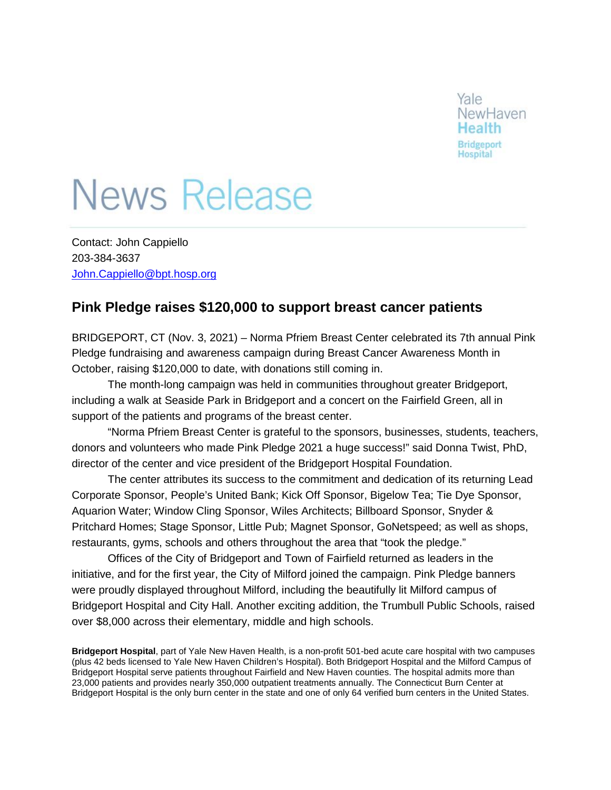

## **News Release**

Contact: John Cappiello 203-384-3637 [John.Cappiello@bpt.hosp.org](mailto:John.Cappiello@bpt.hosp.org)

## **Pink Pledge raises \$120,000 to support breast cancer patients**

BRIDGEPORT, CT (Nov. 3, 2021) – Norma Pfriem Breast Center celebrated its 7th annual Pink Pledge fundraising and awareness campaign during Breast Cancer Awareness Month in October, raising \$120,000 to date, with donations still coming in.

The month-long campaign was held in communities throughout greater Bridgeport, including a walk at Seaside Park in Bridgeport and a concert on the Fairfield Green, all in support of the patients and programs of the breast center.

"Norma Pfriem Breast Center is grateful to the sponsors, businesses, students, teachers, donors and volunteers who made Pink Pledge 2021 a huge success!" said Donna Twist, PhD, director of the center and vice president of the Bridgeport Hospital Foundation.

The center attributes its success to the commitment and dedication of its returning Lead Corporate Sponsor, People's United Bank; Kick Off Sponsor, Bigelow Tea; Tie Dye Sponsor, Aquarion Water; Window Cling Sponsor, Wiles Architects; Billboard Sponsor, Snyder & Pritchard Homes; Stage Sponsor, Little Pub; Magnet Sponsor, GoNetspeed; as well as shops, restaurants, gyms, schools and others throughout the area that "took the pledge."

Offices of the City of Bridgeport and Town of Fairfield returned as leaders in the initiative, and for the first year, the City of Milford joined the campaign. Pink Pledge banners were proudly displayed throughout Milford, including the beautifully lit Milford campus of Bridgeport Hospital and City Hall. Another exciting addition, the Trumbull Public Schools, raised over \$8,000 across their elementary, middle and high schools.

**Bridgeport Hospital**, part of Yale New Haven Health, is a non-profit 501-bed acute care hospital with two campuses (plus 42 beds licensed to Yale New Haven Children's Hospital). Both Bridgeport Hospital and the Milford Campus of Bridgeport Hospital serve patients throughout Fairfield and New Haven counties. The hospital admits more than 23,000 patients and provides nearly 350,000 outpatient treatments annually. The Connecticut Burn Center at Bridgeport Hospital is the only burn center in the state and one of only 64 verified burn centers in the United States.